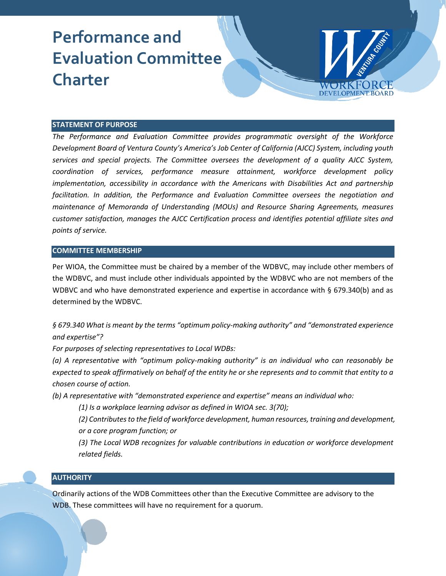# **Performance and Evaluation Committee Charter**



# **STATEMENT OF PURPOSE**

*The Performance and Evaluation Committee provides programmatic oversight of the Workforce Development Board of Ventura County's America's Job Center of California (AJCC) System, including youth services and special projects. The Committee oversees the development of a quality AJCC System, coordination of services, performance measure attainment, workforce development policy implementation, accessibility in accordance with the Americans with Disabilities Act and partnership facilitation. In addition, the Performance and Evaluation Committee oversees the negotiation and maintenance of Memoranda of Understanding (MOUs) and Resource Sharing Agreements, measures customer satisfaction, manages the AJCC Certification process and identifies potential affiliate sites and points of service.* 

## **COMMITTEE MEMBERSHIP**

Per WIOA, the Committee must be chaired by a member of the WDBVC, may include other members of the WDBVC, and must include other individuals appointed by the WDBVC who are not members of the WDBVC and who have demonstrated experience and expertise in accordance with § 679.340(b) and as determined by the WDBVC.

*§ 679.340 What is meant by the terms "optimum policy-making authority" and "demonstrated experience and expertise"?*

*For purposes of selecting representatives to Local WDBs:*

*(a) A representative with "optimum policy-making authority" is an individual who can reasonably be expected to speak affirmatively on behalf of the entity he or she represents and to commit that entity to a chosen course of action.*

*(b) A representative with "demonstrated experience and expertise" means an individual who:*

*(1) Is a workplace learning advisor as defined in WIOA sec. 3(70);*

*(2) Contributes to the field of workforce development, human resources, training and development, or a core program function; or*

*(3) The Local WDB recognizes for valuable contributions in education or workforce development related fields.*

# **AUTHORITY**

Ordinarily actions of the WDB Committees other than the Executive Committee are advisory to the WDB. These committees will have no requirement for a quorum.